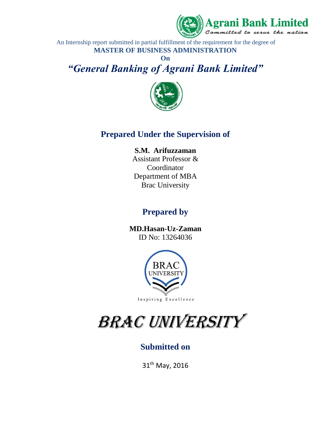

An Internship report submitted in partial fulfillment of the requirement for the degree of **MASTER OF BUSINESS ADMINISTRATION**

**On**  *"General Banking of Agrani Bank Limited"*



### **Prepared Under the Supervision of**

#### **S.M. Arifuzzaman**

Assistant Professor & Coordinator Department of MBA Brac University

### **Prepared by**

**MD.Hasan-Uz-Zaman** ID No: 13264036



# BRAC UNIVERSITY

### **Submitted on**

31th May, 2016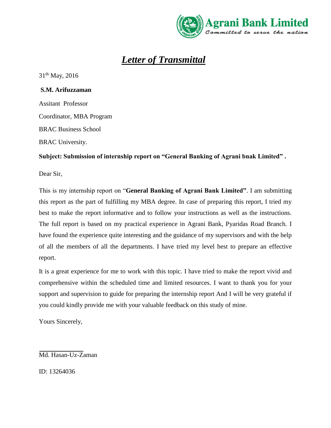

## *Letter of Transmittal*

31th May, 2016

 **S.M. Arifuzzaman** 

Assitant Professor Coordinator, MBA Program BRAC Business School BRAC University.

#### **Subject: Submission of internship report on "General Banking of Agrani bnak Limited" .**

Dear Sir,

This is my internship report on "**General Banking of Agrani Bank Limited"**. I am submitting this report as the part of fulfilling my MBA degree. In case of preparing this report, I tried my best to make the report informative and to follow your instructions as well as the instructions. The full report is based on my practical experience in Agrani Bank, Pyaridas Road Branch. I have found the experience quite interesting and the guidance of my supervisors and with the help of all the members of all the departments. I have tried my level best to prepare an effective report.

It is a great experience for me to work with this topic. I have tried to make the report vivid and comprehensive within the scheduled time and limited resources. I want to thank you for your support and supervision to guide for preparing the internship report And I will be very grateful if you could kindly provide me with your valuable feedback on this study of mine.

Yours Sincerely,

Md. Hasan-Uz-Zaman

ID: 13264036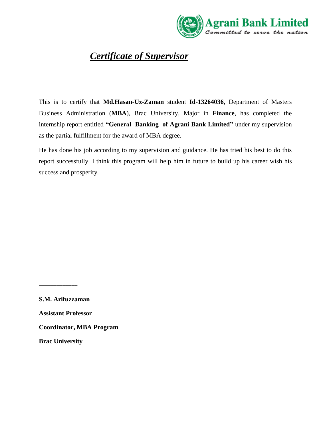

## *Certificate of Supervisor*

This is to certify that **Md.Hasan-Uz-Zaman** student **Id-13264036**, Department of Masters Business Administration (**MBA**), Brac University, Major in **Finance**, has completed the internship report entitled **"General Banking of Agrani Bank Limited"** under my supervision as the partial fulfillment for the award of MBA degree.

He has done his job according to my supervision and guidance. He has tried his best to do this report successfully. I think this program will help him in future to build up his career wish his success and prosperity.

**S.M. Arifuzzaman** 

\_\_\_\_\_\_\_\_\_\_\_\_\_

**Assistant Professor** 

**Coordinator, MBA Program**

**Brac University**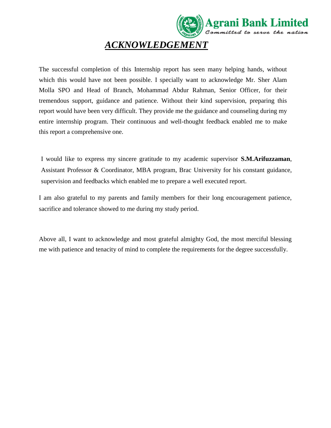

## *ACKNOWLEDGEMENT*

The successful completion of this Internship report has seen many helping hands, without which this would have not been possible. I specially want to acknowledge Mr. Sher Alam Molla SPO and Head of Branch, Mohammad Abdur Rahman, Senior Officer, for their tremendous support, guidance and patience. Without their kind supervision, preparing this report would have been very difficult. They provide me the guidance and counseling during my entire internship program. Their continuous and well-thought feedback enabled me to make this report a comprehensive one.

I would like to express my sincere gratitude to my academic supervisor **S.M.Arifuzzaman**, Assistant Professor & Coordinator, MBA program, Brac University for his constant guidance, supervision and feedbacks which enabled me to prepare a well executed report.

I am also grateful to my parents and family members for their long encouragement patience, sacrifice and tolerance showed to me during my study period.

Above all, I want to acknowledge and most grateful almighty God, the most merciful blessing me with patience and tenacity of mind to complete the requirements for the degree successfully.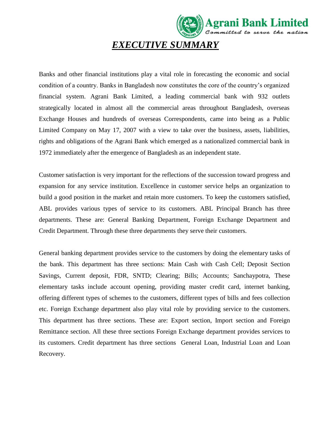# *EXECUTIVE SUMMARY*

Agrani Bank Limited

Banks and other financial institutions play a vital role in forecasting the economic and social condition of a country. Banks in Bangladesh now constitutes the core of the country's organized financial system. Agrani Bank Limited, a leading commercial bank with 932 outlets strategically located in almost all the commercial areas throughout Bangladesh, overseas Exchange Houses and hundreds of overseas Correspondents, came into being as a Public Limited Company on May 17, 2007 with a view to take over the business, assets, liabilities, rights and obligations of the Agrani Bank which emerged as a nationalized commercial bank in 1972 immediately after the emergence of Bangladesh as an independent state.

Customer satisfaction is very important for the reflections of the succession toward progress and expansion for any service institution. Excellence in customer service helps an organization to build a good position in the market and retain more customers. To keep the customers satisfied, ABL provides various types of service to its customers. ABL Principal Branch has three departments. These are: General Banking Department, Foreign Exchange Department and Credit Department. Through these three departments they serve their customers.

General banking department provides service to the customers by doing the elementary tasks of the bank. This department has three sections: Main Cash with Cash Cell; Deposit Section Savings, Current deposit, FDR, SNTD; Clearing; Bills; Accounts; Sanchaypotra, These elementary tasks include account opening, providing master credit card, internet banking, offering different types of schemes to the customers, different types of bills and fees collection etc. Foreign Exchange department also play vital role by providing service to the customers. This department has three sections. These are: Export section, Import section and Foreign Remittance section. All these three sections Foreign Exchange department provides services to its customers. Credit department has three sections General Loan, Industrial Loan and Loan Recovery.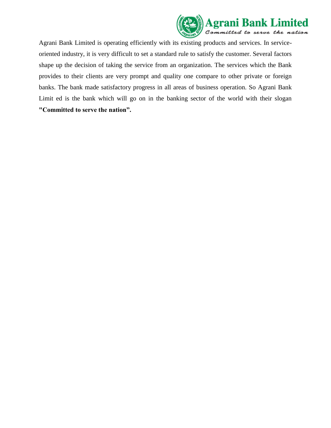

Agrani Bank Limited is operating efficiently with its existing products and services. In serviceoriented industry, it is very difficult to set a standard rule to satisfy the customer. Several factors shape up the decision of taking the service from an organization. The services which the Bank provides to their clients are very prompt and quality one compare to other private or foreign banks. The bank made satisfactory progress in all areas of business operation. So Agrani Bank Limit ed is the bank which will go on in the banking sector of the world with their slogan **"Committed to serve the nation".**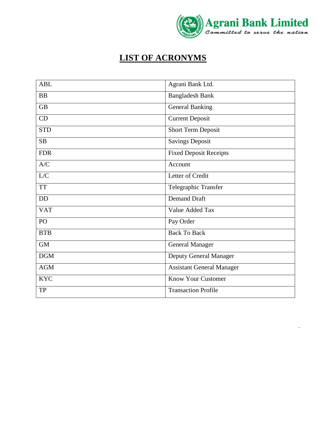

l,

## **LIST OF ACRONYMS**

| <b>ABL</b> | Agrani Bank Ltd.                 |  |
|------------|----------------------------------|--|
| <b>BB</b>  | <b>Bangladesh Bank</b>           |  |
| <b>GB</b>  | <b>General Banking</b>           |  |
| CD         | <b>Current Deposit</b>           |  |
| <b>STD</b> | <b>Short Term Deposit</b>        |  |
| <b>SB</b>  | <b>Savings Deposit</b>           |  |
| <b>FDR</b> | <b>Fixed Deposit Receipts</b>    |  |
| A/C        | Account                          |  |
| L/C        | Letter of Credit                 |  |
| <b>TT</b>  | Telegraphic Transfer             |  |
| <b>DD</b>  | <b>Demand Draft</b>              |  |
| <b>VAT</b> | Value Added Tax                  |  |
| PO         | Pay Order                        |  |
| <b>BTB</b> | <b>Back To Back</b>              |  |
| <b>GM</b>  | <b>General Manager</b>           |  |
| <b>DGM</b> | Deputy General Manager           |  |
| <b>AGM</b> | <b>Assistant General Manager</b> |  |
| <b>KYC</b> | <b>Know Your Customer</b>        |  |
| <b>TP</b>  | <b>Transaction Profile</b>       |  |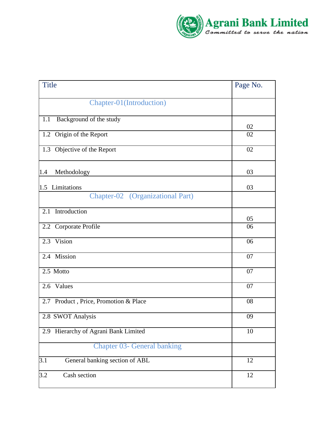

| <b>Title</b>                                       | Page No. |
|----------------------------------------------------|----------|
| Chapter-01(Introduction)                           |          |
| Background of the study<br>1.1                     | 02       |
| 1.2 Origin of the Report                           | 02       |
| 1.3 Objective of the Report                        | 02       |
| 1.4<br>Methodology                                 | 03       |
| 1.5 Limitations                                    | 03       |
| Chapter-02 (Organizational Part)                   |          |
| Introduction<br>2.1                                | 05       |
| 2.2 Corporate Profile                              | 06       |
| 2.3 Vision                                         | 06       |
| 2.4 Mission                                        | 07       |
| 2.5 Motto                                          | 07       |
| 2.6 Values                                         | 07       |
| 2.7 Product, Price, Promotion & Place              | 08       |
| 2.8 SWOT Analysis                                  | 09       |
| Hierarchy of Agrani Bank Limited<br>2.9            | 10       |
| <b>Chapter 03- General banking</b>                 |          |
| General banking section of ABL<br>$\overline{3.1}$ | 12       |
| 3.2<br>Cash section                                | 12       |
|                                                    |          |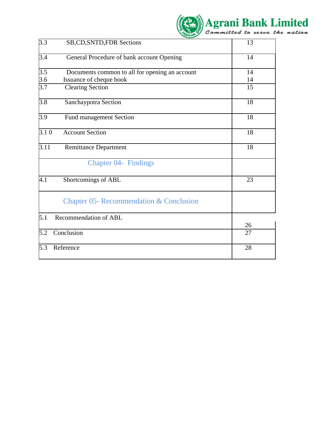|                   |                                                | Agrani Bank Limited |  |
|-------------------|------------------------------------------------|---------------------|--|
| 3.3               | SB, CD, SNTD, FDR Sections                     | 13                  |  |
| $\overline{3.4}$  | General Procedure of bank account Opening      | 14                  |  |
| $\overline{3.5}$  | Documents common to all for opening an account | 14                  |  |
| 3.6               | Issuance of cheque book                        | 14                  |  |
| $\overline{3.7}$  | <b>Clearing Section</b>                        | 15                  |  |
| $\overline{3.8}$  | Sanchaypotra Section                           | 18                  |  |
| $\overline{3.9}$  | <b>Fund management Section</b>                 | 18                  |  |
| 3.10              | <b>Account Section</b>                         | 18                  |  |
| $\overline{3.11}$ | <b>Remittance Department</b>                   | 18                  |  |
|                   | <b>Chapter 04- Findings</b>                    |                     |  |
| 4.1               | Shortcomings of ABL                            | 23                  |  |
|                   | Chapter 05- Recommendation & Conclusion        |                     |  |
| 5.1               | Recommendation of ABL                          |                     |  |
|                   |                                                | 26                  |  |
| 5.2               | Conclusion                                     | 27                  |  |
| $\overline{5.3}$  | Reference                                      | 28                  |  |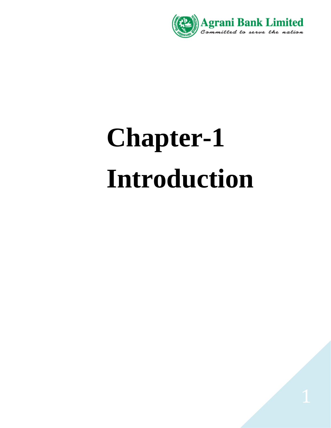

# **Chapter-1 Introduction**

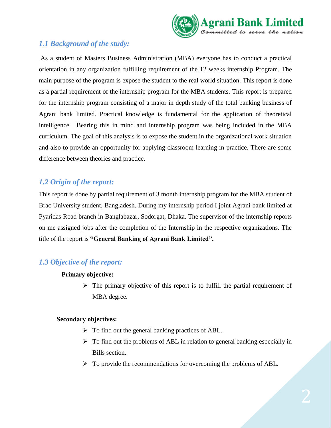

#### *1.1 Background of the study:*

As a student of Masters Business Administration (MBA) everyone has to conduct a practical orientation in any organization fulfilling requirement of the 12 weeks internship Program. The main purpose of the program is expose the student to the real world situation. This report is done as a partial requirement of the internship program for the MBA students. This report is prepared for the internship program consisting of a major in depth study of the total banking business of Agrani bank limited. Practical knowledge is fundamental for the application of theoretical intelligence. Bearing this in mind and internship program was being included in the MBA curriculum. The goal of this analysis is to expose the student in the organizational work situation and also to provide an opportunity for applying classroom learning in practice. There are some difference between theories and practice.

#### *1.2 Origin of the report:*

This report is done by partial requirement of 3 month internship program for the MBA student of Brac University student, Bangladesh. During my internship period I joint Agrani bank limited at Pyaridas Road branch in Banglabazar, Sodorgat, Dhaka. The supervisor of the internship reports on me assigned jobs after the completion of the Internship in the respective organizations. The title of the report is **"General Banking of Agrani Bank Limited".**

#### *1.3 Objective of the report:*

#### **Primary objective:**

 $\triangleright$  The primary objective of this report is to fulfill the partial requirement of MBA degree.

#### **Secondary objectives:**

- $\triangleright$  To find out the general banking practices of ABL.
- $\triangleright$  To find out the problems of ABL in relation to general banking especially in Bills section.
- $\triangleright$  To provide the recommendations for overcoming the problems of ABL.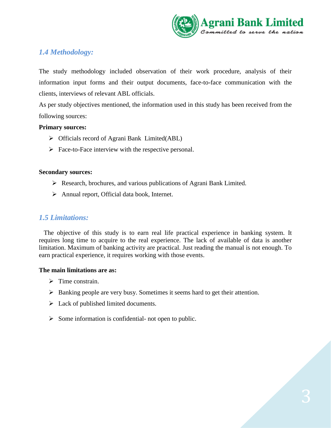

#### *1.4 Methodology:*

The study methodology included observation of their work procedure, analysis of their information input forms and their output documents, face-to-face communication with the clients, interviews of relevant ABL officials.

As per study objectives mentioned, the information used in this study has been received from the following sources:

#### **Primary sources:**

- Officials record of Agrani Bank Limited(ABL)
- $\triangleright$  Face-to-Face interview with the respective personal.

#### **Secondary sources:**

- Research, brochures, and various publications of Agrani Bank Limited.
- $\triangleright$  Annual report, Official data book, Internet.

#### *1.5 Limitations:*

 The objective of this study is to earn real life practical experience in banking system. It requires long time to acquire to the real experience. The lack of available of data is another limitation. Maximum of banking activity are practical. Just reading the manual is not enough. To earn practical experience, it requires working with those events.

#### **The main limitations are as:**

- $\triangleright$  Time constrain.
- Banking people are very busy. Sometimes it seems hard to get their attention.
- $\triangleright$  Lack of published limited documents.
- $\triangleright$  Some information is confidential- not open to public.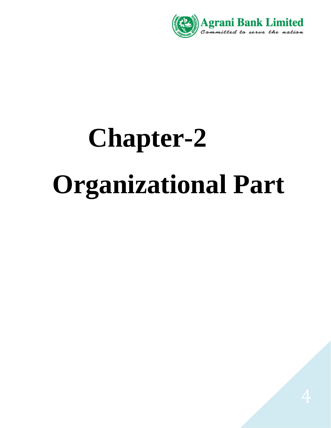

# **Chapter-2 Organizational Part**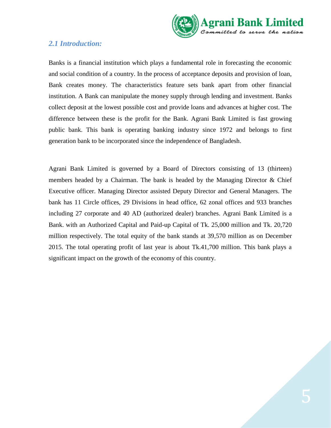

#### *2.1 Introduction:*

Banks is a financial institution which plays a fundamental role in forecasting the economic and social condition of a country. In the process of acceptance deposits and provision of loan, Bank creates money. The characteristics feature sets bank apart from other financial institution. A Bank can manipulate the money supply through lending and investment. Banks collect deposit at the lowest possible cost and provide loans and advances at higher cost. The difference between these is the profit for the Bank. Agrani Bank Limited is fast growing public bank. This bank is operating banking industry since 1972 and belongs to first generation bank to be incorporated since the independence of Bangladesh.

Agrani Bank Limited is governed by a Board of Directors consisting of 13 (thirteen) members headed by a Chairman. The bank is headed by the Managing Director & Chief Executive officer. Managing Director assisted Deputy Director and General Managers. The bank has 11 Circle offices, 29 Divisions in head office, 62 zonal offices and 933 branches including 27 corporate and 40 AD (authorized dealer) branches. Agrani Bank Limited is a Bank. with an Authorized Capital and Paid-up Capital of Tk. 25,000 million and Tk. 20,720 million respectively. The total equity of the bank stands at 39,570 million as on December 2015. The total operating profit of last year is about Tk.41,700 million. This bank plays a significant impact on the growth of the economy of this country.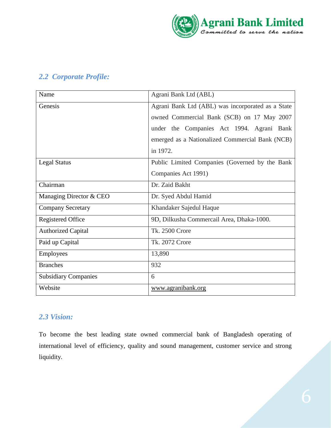

#### *2.2 Corporate Profile:*

| Name                        | Agrani Bank Ltd (ABL)                             |  |
|-----------------------------|---------------------------------------------------|--|
| Genesis                     | Agrani Bank Ltd (ABL) was incorporated as a State |  |
|                             | owned Commercial Bank (SCB) on 17 May 2007        |  |
|                             | under the Companies Act 1994. Agrani Bank         |  |
|                             | emerged as a Nationalized Commercial Bank (NCB)   |  |
|                             | in 1972.                                          |  |
| <b>Legal Status</b>         | Public Limited Companies (Governed by the Bank    |  |
|                             | Companies Act 1991)                               |  |
| Chairman                    | Dr. Zaid Bakht                                    |  |
| Managing Director & CEO     | Dr. Syed Abdul Hamid                              |  |
| <b>Company Secretary</b>    | Khandaker Sajedul Haque                           |  |
| Registered Office           | 9D, Dilkusha Commercail Area, Dhaka-1000.         |  |
| <b>Authorized Capital</b>   | <b>Tk. 2500 Crore</b>                             |  |
| Paid up Capital             | Tk. 2072 Crore                                    |  |
| <b>Employees</b>            | 13,890                                            |  |
| <b>Branches</b>             | 932                                               |  |
| <b>Subsidiary Companies</b> | 6                                                 |  |
| Website                     | www.agranibank.org                                |  |

#### *2.3 Vision:*

To become the best leading state owned commercial bank of Bangladesh operating of international level of efficiency, quality and sound management, customer service and strong liquidity.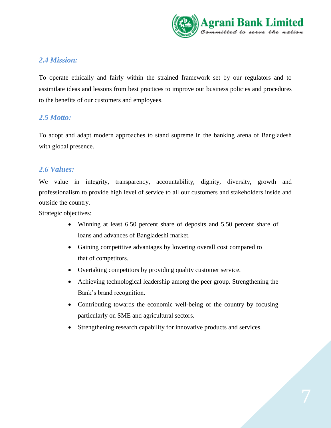

#### *2.4 Mission:*

To operate ethically and fairly within the strained framework set by our regulators and to assimilate ideas and lessons from best practices to improve our business policies and procedures to the benefits of our customers and employees.

#### *2.5 Motto:*

To adopt and adapt modern approaches to stand supreme in the banking arena of Bangladesh with global presence.

#### *2.6 Values:*

We value in integrity, transparency, accountability, dignity, diversity, growth and professionalism to provide high level of service to all our customers and stakeholders inside and outside the country.

Strategic objectives:

- Winning at least 6.50 percent share of deposits and 5.50 percent share of loans and advances of Bangladeshi market.
- Gaining competitive advantages by lowering overall cost compared to that of competitors.
- Overtaking competitors by providing quality customer service.
- Achieving technological leadership among the peer group. Strengthening the Bank's brand recognition.
- Contributing towards the economic well-being of the country by focusing particularly on SME and agricultural sectors.
- Strengthening research capability for innovative products and services.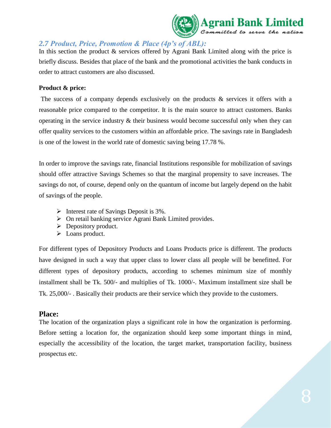

#### *2.7 Product, Price, Promotion & Place (4p's of ABL):*

In this section the product & services offered by Agrani Bank Limited along with the price is briefly discuss. Besides that place of the bank and the promotional activities the bank conducts in order to attract customers are also discussed.

#### **Product & price:**

The success of a company depends exclusively on the products  $\&$  services it offers with a reasonable price compared to the competitor. It is the main source to attract customers. Banks operating in the service industry & their business would become successful only when they can offer quality services to the customers within an affordable price. The savings rate in Bangladesh is one of the lowest in the world rate of domestic saving being 17.78 %.

In order to improve the savings rate, financial Institutions responsible for mobilization of savings should offer attractive Savings Schemes so that the marginal propensity to save increases. The savings do not, of course, depend only on the quantum of income but largely depend on the habit of savings of the people.

- $\triangleright$  Interest rate of Savings Deposit is 3%.
- $\triangleright$  On retail banking service Agrani Bank Limited provides.
- $\triangleright$  Depository product.
- > Loans product.

For different types of Depository Products and Loans Products price is different. The products have designed in such a way that upper class to lower class all people will be benefitted. For different types of depository products, according to schemes minimum size of monthly installment shall be Tk. 500/- and multiplies of Tk. 1000/-. Maximum installment size shall be Tk. 25,000/- . Basically their products are their service which they provide to the customers.

#### **Place:**

The location of the organization plays a significant role in how the organization is performing. Before setting a location for, the organization should keep some important things in mind, especially the accessibility of the location, the target market, transportation facility, business prospectus etc.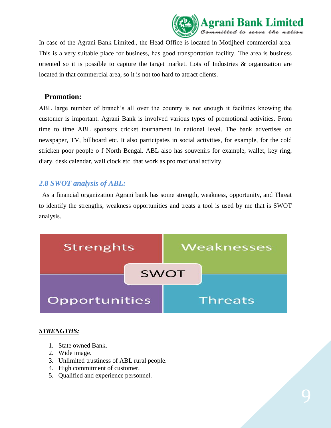

In case of the Agrani Bank Limited., the Head Office is located in Motijheel commercial area. This is a very suitable place for business, has good transportation facility. The area is business oriented so it is possible to capture the target market. Lots of Industries  $\&$  organization are located in that commercial area, so it is not too hard to attract clients.

#### **Promotion:**

ABL large number of branch's all over the country is not enough it facilities knowing the customer is important. Agrani Bank is involved various types of promotional activities. From time to time ABL sponsors cricket tournament in national level. The bank advertises on newspaper, TV, billboard etc. It also participates in social activities, for example, for the cold stricken poor people o f North Bengal. ABL also has souvenirs for example, wallet, key ring, diary, desk calendar, wall clock etc. that work as pro motional activity.

#### *2.8 SWOT analysis of ABL:*

As a financial organization Agrani bank has some strength, weakness, opportunity, and Threat to identify the strengths, weakness opportunities and treats a tool is used by me that is SWOT analysis.



#### *STRENGTHS:*

- 1. State owned Bank.
- 2. Wide image.
- 3. Unlimited trustiness of ABL rural people.
- 4. High commitment of customer.
- 5. Qualified and experience personnel.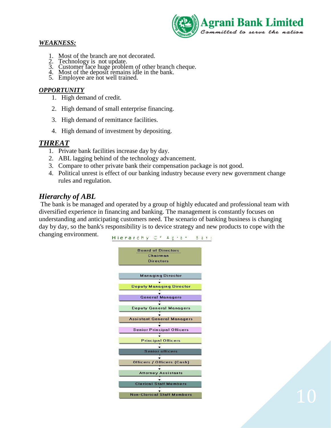

#### *WEAKNESS:*

- 1. Most of the branch are not decorated.
- 
- 2. Technology is not update.<br>
3. Customer face huge problem of other branch cheque.<br>
4. Most of the deposit remains idle in the bank.<br>
5. Employee are not well trained.
- 
- 

#### *OPPORTUNITY*

- 1. High demand of credit.
- 2. High demand of small enterprise financing.
- 3. High demand of remittance facilities.
- 4. High demand of investment by depositing.

#### *THREAT*

- 1. Private bank facilities increase day by day.
- 2. ABL lagging behind of the technology advancement.
- 3. Compare to other private bank their compensation package is not good.
- 4. Political unrest is effect of our banking industry because every new government change rules and regulation.

#### *Hierarchy of ABL*

 The bank is be managed and operated by a group of highly educated and professional team with diversified experience in financing and banking. The management is constantly focuses on understanding and anticipating customers need. The scenario of banking business is changing day by day, so the bank's responsibility is to device strategy and new products to cope with the changing environment.

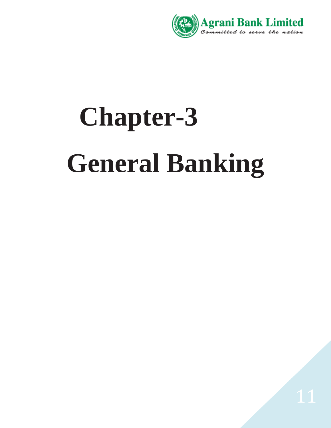

# **Chapter-3 General Banking**

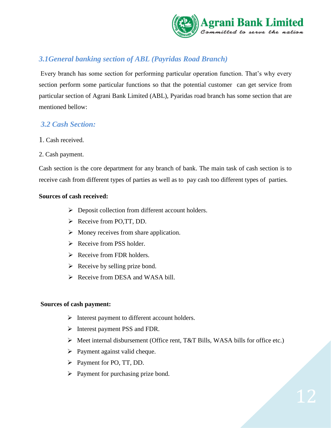

#### *3.1General banking section of ABL (Payridas Road Branch)*

Every branch has some section for performing particular operation function. That's why every section perform some particular functions so that the potential customer can get service from particular section of Agrani Bank Limited (ABL), Pyaridas road branch has some section that are mentioned bellow:

#### *3.2 Cash Section:*

- 1. Cash received.
- 2. Cash payment.

Cash section is the core department for any branch of bank. The main task of cash section is to receive cash from different types of parties as well as to pay cash too different types of parties.

#### **Sources of cash received:**

- $\triangleright$  Deposit collection from different account holders.
- $\triangleright$  Receive from PO, TT, DD.
- $\triangleright$  Money receives from share application.
- $\triangleright$  Receive from PSS holder.
- $\triangleright$  Receive from FDR holders.
- $\triangleright$  Receive by selling prize bond.
- $\triangleright$  Receive from DESA and WASA bill.

#### **Sources of cash payment:**

- $\triangleright$  Interest payment to different account holders.
- $\triangleright$  Interest payment PSS and FDR.
- Meet internal disbursement (Office rent, T&T Bills, WASA bills for office etc.)
- $\triangleright$  Payment against valid cheque.
- Payment for PO, TT, DD.
- $\triangleright$  Payment for purchasing prize bond.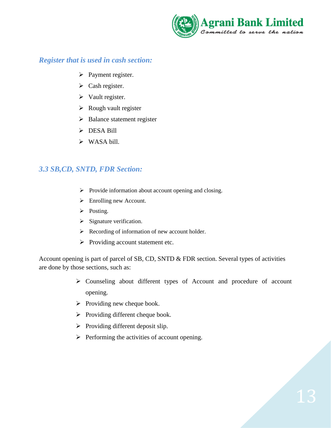

#### *Register that is used in cash section:*

- $\triangleright$  Payment register.
- $\triangleright$  Cash register.
- $\triangleright$  Vault register.
- $\triangleright$  Rough vault register
- $\triangleright$  Balance statement register
- > DESA Bill
- $\triangleright$  WASA bill.

#### *3.3 SB,CD, SNTD, FDR Section:*

- $\triangleright$  Provide information about account opening and closing.
- Enrolling new Account.
- $\triangleright$  Posting.
- $\triangleright$  Signature verification.
- Recording of information of new account holder.
- $\triangleright$  Providing account statement etc.

Account opening is part of parcel of SB, CD, SNTD & FDR section. Several types of activities are done by those sections, such as:

- Counseling about different types of Account and procedure of account opening.
- $\triangleright$  Providing new cheque book.
- $\triangleright$  Providing different cheque book.
- $\triangleright$  Providing different deposit slip.
- $\triangleright$  Performing the activities of account opening.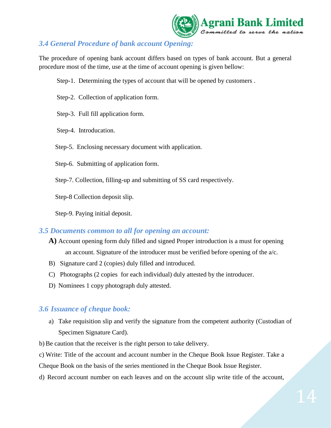

#### *3.4 General Procedure of bank account Opening:*

The procedure of opening bank account differs based on types of bank account. But a general procedure most of the time, use at the time of account opening is given bellow:

Step-1. Determining the types of account that will be opened by customers .

- Step-2. Collection of application form.
- Step-3. Full fill application form.
- Step-4. Introducation.
- Step-5. Enclosing necessary document with application.
- Step-6. Submitting of application form.
- Step-7. Collection, filling-up and submitting of SS card respectively.

Step-8 Collection deposit slip.

Step-9. Paying initial deposit.

#### *3.5 Documents common to all for opening an account:*

- **A)** Account opening form duly filled and signed Proper introduction is a must for opening an account. Signature of the introducer must be verified before opening of the a/c.
- B) Signature card 2 (copies) duly filled and introduced.
- C) Photographs (2 copies for each individual) duly attested by the introducer.
- D) Nominees 1 copy photograph duly attested.

#### *3.6 Issuance of cheque book:*

- a) Take requisition slip and verify the signature from the competent authority (Custodian of Specimen Signature Card).
- b) Be caution that the receiver is the right person to take delivery.

c) Write: Title of the account and account number in the Cheque Book Issue Register. Take a

Cheque Book on the basis of the series mentioned in the Cheque Book Issue Register.

d) Record account number on each leaves and on the account slip write title of the account,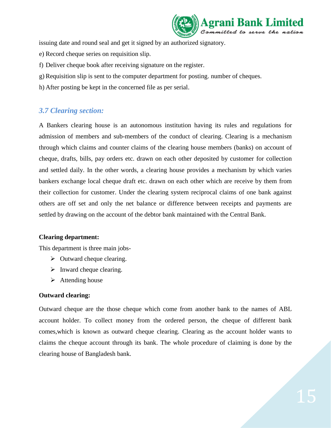

issuing date and round seal and get it signed by an authorized signatory.

- e) Record cheque series on requisition slip.
- f) Deliver cheque book after receiving signature on the register.
- g) Requisition slip is sent to the computer department for posting. number of cheques.
- h) After posting be kept in the concerned file as per serial.

#### *3.7 Clearing section:*

A Bankers clearing house is an autonomous institution having its rules and regulations for admission of members and sub-members of the conduct of clearing. Clearing is a mechanism through which claims and counter claims of the clearing house members (banks) on account of cheque, drafts, bills, pay orders etc. drawn on each other deposited by customer for collection and settled daily. In the other words, a clearing house provides a mechanism by which varies bankers exchange local cheque draft etc. drawn on each other which are receive by them from their collection for customer. Under the clearing system reciprocal claims of one bank against others are off set and only the net balance or difference between receipts and payments are settled by drawing on the account of the debtor bank maintained with the Central Bank.

#### **Clearing department:**

This department is three main jobs-

- $\triangleright$  Outward cheque clearing.
- $\triangleright$  Inward cheque clearing.
- $\triangleright$  Attending house

#### **Outward clearing:**

Outward cheque are the those cheque which come from another bank to the names of ABL account holder. To collect money from the ordered person, the cheque of different bank comes,which is known as outward cheque clearing. Clearing as the account holder wants to claims the cheque account through its bank. The whole procedure of claiming is done by the clearing house of Bangladesh bank.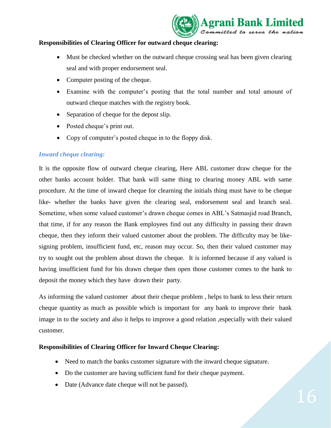

#### **Responsibilities of Clearing Officer for outward cheque clearing:**

- Must be checked whether on the outward cheque crossing seal has been given clearing seal and with proper endorsement seal.
- Computer posting of the cheque.
- Examine with the computer's posting that the total number and total amount of outward cheque matches with the registry book.
- Separation of cheque for the depost slip.
- Posted cheque's print out.
- Copy of computer's posted cheque in to the floppy disk.

#### *Inward cheque clearing:*

It is the opposite flow of outward cheque clearing, Here ABL customer draw cheque for the other banks account holder. That bank will same thing to clearing money ABL with same procedure. At the time of inward cheque for clearning the initials thing must have to be cheque like- whether the banks have given the clearing seal, endorsement seal and branch seal. Sometime, when some valued customer's drawn cheque comes in ABL's Satmasjid road Branch, that time, if for any reason the Bank employees find out any difficulty in passing their drawn cheque, then they inform their valued customer about the problem. The difficulty may be likesigning problem, insufficient fund, etc, reason may occur. So, then their valued customer may try to sought out the problem about drawn the cheque. It is informed because if any valued is having insufficient fund for his drawn cheque then open those customer comes to the bank to deposit the money which they have drawn their party.

As informing the valued customer about their cheque problem , helps to bank to less their return cheque quantity as much as possible which is important for any bank to improve their bank image in to the society and also it helps to improve a good relation ,especially with their valued customer.

#### **Responsibilities of Clearing Officer for Inward Cheque Clearing:**

- Need to match the banks customer signature with the inward cheque signature.
- Do the customer are having sufficient fund for their cheque payment.
- Date (Advance date cheque will not be passed).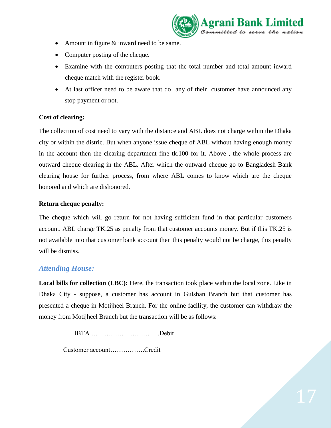

- Amount in figure & inward need to be same.
- Computer posting of the cheque.
- Examine with the computers posting that the total number and total amount inward cheque match with the register book.
- At last officer need to be aware that do any of their customer have announced any stop payment or not.

#### **Cost of clearing:**

The collection of cost need to vary with the distance and ABL does not charge within the Dhaka city or within the distric. But when anyone issue cheque of ABL without having enough money in the account then the clearing department fine tk.100 for it. Above , the whole process are outward cheque clearing in the ABL. After which the outward cheque go to Bangladesh Bank clearing house for further process, from where ABL comes to know which are the cheque honored and which are dishonored.

#### **Return cheque penalty:**

The cheque which will go return for not having sufficient fund in that particular customers account. ABL charge TK.25 as penalty from that customer accounts money. But if this TK.25 is not available into that customer bank account then this penalty would not be charge, this penalty will be dismiss.

#### *Attending House:*

**Local bills for collection (LBC):** Here, the transaction took place within the local zone. Like in Dhaka City - suppose, a customer has account in Gulshan Branch but that customer has presented a cheque in Motijheel Branch. For the online facility, the customer can withdraw the money from Motijheel Branch but the transaction will be as follows:

IBTA …………………………..Debit

Customer account…………….Credit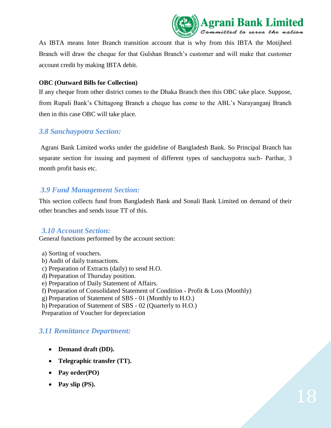

As IBTA means Inter Branch transition account that is why from this IBTA the Motijheel Branch will draw the cheque for that Gulshan Branch's customer and will make that customer account credit by making IBTA debit.

#### **OBC (Outward Bills for Collection)**

If any cheque from other district comes to the Dhaka Branch then this OBC take place. Suppose, from Rupali Bank's Chittagong Branch a cheque has come to the ABL's Narayanganj Branch then in this case OBC will take place.

#### *3.8 Sanchaypotra Section:*

Agrani Bank Limited works under the guideline of Bangladesh Bank. So Principal Branch has separate section for issuing and payment of different types of sanchaypotra such- Paribar, 3 month profit basis etc.

#### *3.9 Fund Management Section:*

This section collects fund from Bangladesh Bank and Sonali Bank Limited on demand of their other branches and sends issue TT of this.

#### *3.10 Account Section:*

General functions performed by the account section:

a) Sorting of vouchers. b) Audit of daily transactions.

- c) Preparation of Extracts (daily) to send H.O.
- d) Preparation of Thursday position.
- e) Preparation of Daily Statement of Affairs.
- f) Preparation of Consolidated Statement of Condition Profit & Loss (Monthly)

g) Preparation of Statement of SBS - 01 (Monthly to H.O.)

h) Preparation of Statement of SBS - 02 (Quarterly to H.O.)

Preparation of Voucher for depreciation

#### *3.11 Remittance Department:*

- **Demand draft (DD).**
- **Telegraphic transfer (TT).**
- **Pay order(PO)**
- **Pay slip (PS).**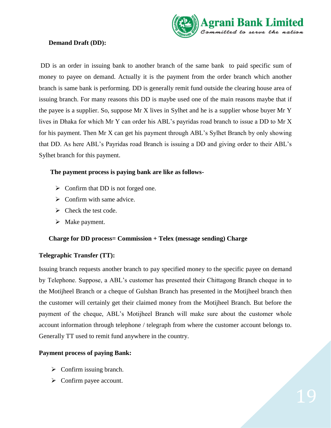

#### **Demand Draft (DD):**

DD is an order in issuing bank to another branch of the same bank to paid specific sum of money to payee on demand. Actually it is the payment from the order branch which another branch is same bank is performing. DD is generally remit fund outside the clearing house area of issuing branch. For many reasons this DD is maybe used one of the main reasons maybe that if the payee is a supplier. So, suppose Mr X lives in Sylhet and he is a supplier whose buyer Mr Y lives in Dhaka for which Mr Y can order his ABL's payridas road branch to issue a DD to Mr X for his payment. Then Mr X can get his payment through ABL's Sylhet Branch by only showing that DD. As here ABL's Payridas road Branch is issuing a DD and giving order to their ABL's Sylhet branch for this payment.

#### **The payment process is paying bank are like as follows-**

- $\triangleright$  Confirm that DD is not forged one.
- $\triangleright$  Confirm with same advice.
- $\triangleright$  Check the test code.
- $\triangleright$  Make payment.

#### **Charge for DD process= Commission + Telex (message sending) Charge**

#### **Telegraphic Transfer (TT):**

Issuing branch requests another branch to pay specified money to the specific payee on demand by Telephone. Suppose, a ABL's customer has presented their Chittagong Branch cheque in to the Motijheel Branch or a cheque of Gulshan Branch has presented in the Motijheel branch then the customer will certainly get their claimed money from the Motijheel Branch. But before the payment of the cheque, ABL's Motijheel Branch will make sure about the customer whole account information through telephone / telegraph from where the customer account belongs to. Generally TT used to remit fund anywhere in the country.

#### **Payment process of paying Bank:**

- $\triangleright$  Confirm issuing branch.
- $\triangleright$  Confirm payee account.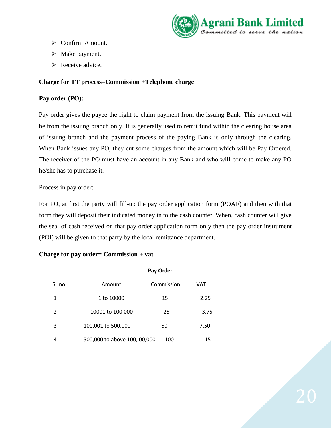

- Confirm Amount.
- $\triangleright$  Make payment.
- $\triangleright$  Receive advice.

#### **Charge for TT process=Commission +Telephone charge**

#### **Pay order (PO):**

Pay order gives the payee the right to claim payment from the issuing Bank. This payment will be from the issuing branch only. It is generally used to remit fund within the clearing house area of issuing branch and the payment process of the paying Bank is only through the clearing. When Bank issues any PO, they cut some charges from the amount which will be Pay Ordered. The receiver of the PO must have an account in any Bank and who will come to make any PO he/she has to purchase it.

Process in pay order:

For PO, at first the party will fill-up the pay order application form (POAF) and then with that form they will deposit their indicated money in to the cash counter. When, cash counter will give the seal of cash received on that pay order application form only then the pay order instrument (POI) will be given to that party by the local remittance department.

|                | Pay Order                    |            |      |
|----------------|------------------------------|------------|------|
| SL no.         | Amount                       | Commission | VAT  |
| 1              | 1 to 10000                   | 15         | 2.25 |
| $\overline{2}$ | 10001 to 100,000             | 25         | 3.75 |
| 3              | 100,001 to 500,000           | 50         | 7.50 |
| 4              | 500,000 to above 100, 00,000 | 100        | 15   |
|                |                              |            |      |

#### **Charge for pay order= Commission + vat**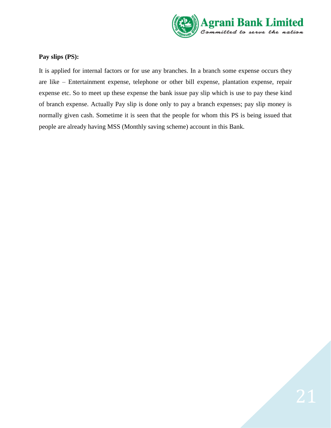

#### **Pay slips (PS):**

It is applied for internal factors or for use any branches. In a branch some expense occurs they are like – Entertainment expense, telephone or other bill expense, plantation expense, repair expense etc. So to meet up these expense the bank issue pay slip which is use to pay these kind of branch expense. Actually Pay slip is done only to pay a branch expenses; pay slip money is normally given cash. Sometime it is seen that the people for whom this PS is being issued that people are already having MSS (Monthly saving scheme) account in this Bank.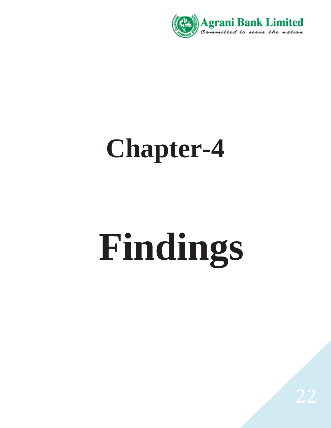

# **Chapter-4**

# **Findings**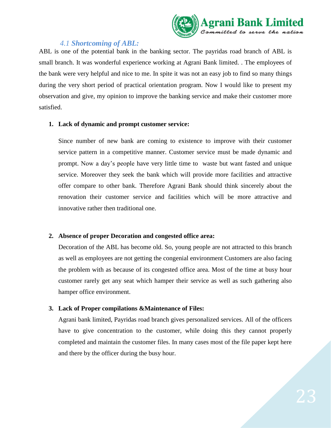

#### *4.1 Shortcoming of ABL:*

ABL is one of the potential bank in the banking sector. The payridas road branch of ABL is small branch. It was wonderful experience working at Agrani Bank limited. . The employees of the bank were very helpful and nice to me. In spite it was not an easy job to find so many things during the very short period of practical orientation program. Now I would like to present my observation and give, my opinion to improve the banking service and make their customer more satisfied.

#### **1. Lack of dynamic and prompt customer service:**

Since number of new bank are coming to existence to improve with their customer service pattern in a competitive manner. Customer service must be made dynamic and prompt. Now a day's people have very little time to waste but want fasted and unique service. Moreover they seek the bank which will provide more facilities and attractive offer compare to other bank. Therefore Agrani Bank should think sincerely about the renovation their customer service and facilities which will be more attractive and innovative rather then traditional one.

#### **2. Absence of proper Decoration and congested office area:**

Decoration of the ABL has become old. So, young people are not attracted to this branch as well as employees are not getting the congenial environment Customers are also facing the problem with as because of its congested office area. Most of the time at busy hour customer rarely get any seat which hamper their service as well as such gathering also hamper office environment.

#### **3. Lack of Proper compilations &Maintenance of Files:**

Agrani bank limited, Payridas road branch gives personalized services. All of the officers have to give concentration to the customer, while doing this they cannot properly completed and maintain the customer files. In many cases most of the file paper kept here and there by the officer during the busy hour.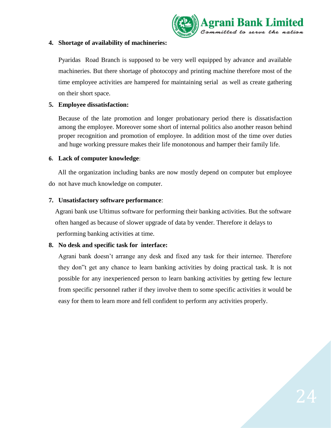

#### **4. Shortage of availability of machineries:**

Pyaridas Road Branch is supposed to be very well equipped by advance and available machineries. But there shortage of photocopy and printing machine therefore most of the time employee activities are hampered for maintaining serial as well as create gathering on their short space.

#### **5. Employee dissatisfaction:**

Because of the late promotion and longer probationary period there is dissatisfaction among the employee. Moreover some short of internal politics also another reason behind proper recognition and promotion of employee. In addition most of the time over duties and huge working pressure makes their life monotonous and hamper their family life.

#### **6. Lack of computer knowledge**:

 All the organization including banks are now mostly depend on computer but employee do not have much knowledge on computer.

#### **7. Unsatisfactory software performance**:

 Agrani bank use Ultimus software for performing their banking activities. But the software often hanged as because of slower upgrade of data by vender. Therefore it delays to performing banking activities at time.

#### **8. No desk and specific task for interface:**

Agrani bank doesn't arrange any desk and fixed any task for their internee. Therefore they don"t get any chance to learn banking activities by doing practical task. It is not possible for any inexperienced person to learn banking activities by getting few lecture from specific personnel rather if they involve them to some specific activities it would be easy for them to learn more and fell confident to perform any activities properly.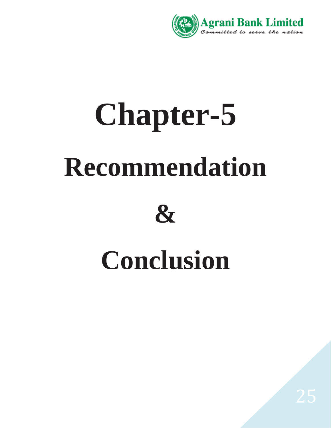

# **Chapter-5 Recommendation**



# **Conclusion**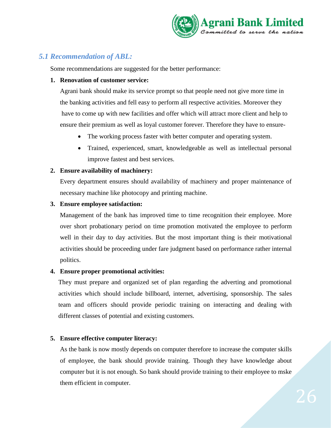

#### *5.1 Recommendation of ABL:*

Some recommendations are suggested for the better performance:

#### **1. Renovation of customer service:**

 Agrani bank should make its service prompt so that people need not give more time in the banking activities and fell easy to perform all respective activities. Moreover they have to come up with new facilities and offer which will attract more client and help to ensure their premium as well as loyal customer forever. Therefore they have to ensure-

- The working process faster with better computer and operating system.
- Trained, experienced, smart, knowledgeable as well as intellectual personal improve fastest and best services.

#### **2. Ensure availability of machinery:**

Every department ensures should availability of machinery and proper maintenance of necessary machine like photocopy and printing machine.

#### **3. Ensure employee satisfaction:**

Management of the bank has improved time to time recognition their employee. More over short probationary period on time promotion motivated the employee to perform well in their day to day activities. But the most important thing is their motivational activities should be proceeding under fare judgment based on performance rather internal politics.

#### **4. Ensure proper promotional activities:**

They must prepare and organized set of plan regarding the adverting and promotional activities which should include billboard, internet, advertising, sponsorship. The sales team and officers should provide periodic training on interacting and dealing with different classes of potential and existing customers.

#### **5. Ensure effective computer literacy:**

As the bank is now mostly depends on computer therefore to increase the computer skills of employee, the bank should provide training. Though they have knowledge about computer but it is not enough. So bank should provide training to their employee to mske them efficient in computer.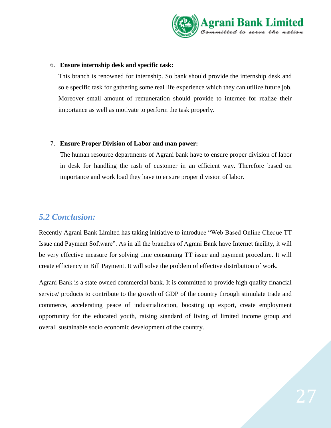

#### 6. **Ensure internship desk and specific task:**

This branch is renowned for internship. So bank should provide the internship desk and so e specific task for gathering some real life experience which they can utilize future job. Moreover small amount of remuneration should provide to internee for realize their importance as well as motivate to perform the task properly.

#### 7. **Ensure Proper Division of Labor and man power:**

The human resource departments of Agrani bank have to ensure proper division of labor in desk for handling the rash of customer in an efficient way. Therefore based on importance and work load they have to ensure proper division of labor.

#### *5.2 Conclusion:*

Recently Agrani Bank Limited has taking initiative to introduce "Web Based Online Cheque TT Issue and Payment Software". As in all the branches of Agrani Bank have Internet facility, it will be very effective measure for solving time consuming TT issue and payment procedure. It will create efficiency in Bill Payment. It will solve the problem of effective distribution of work.

Agrani Bank is a state owned commercial bank. It is committed to provide high quality financial service/ products to contribute to the growth of GDP of the country through stimulate trade and commerce, accelerating peace of industrialization, boosting up export, create employment opportunity for the educated youth, raising standard of living of limited income group and overall sustainable socio economic development of the country.